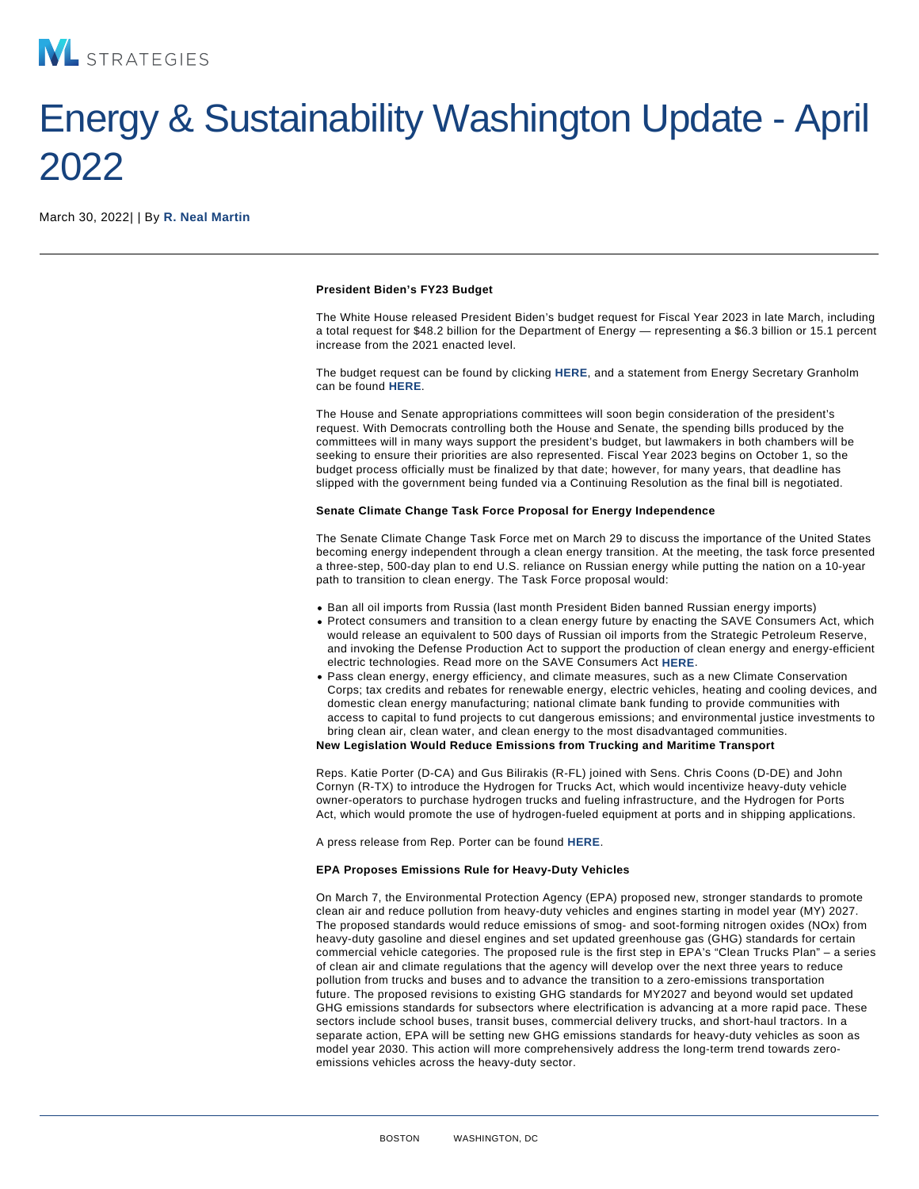## Energy & Sustainability Washington Update - April 2022

March 30, 2022| | By [R. Neal Martin](/our-people/r-neal-martin)

President Biden's FY23 Budget

The White House released President Biden's budget request for Fiscal Year 2023 in late March, including a total request for \$48.2 billion for the Department of Energy — representing a \$6.3 billion or 15.1 percent increase from the 2021 enacted level.

The budget request can be found by clicking [HERE,](https://www.whitehouse.gov/wp-content/uploads/2022/03/budget_fy2023.pdf) and a statement from Energy Secretary Granholm can be found [HERE.](https://www.energy.gov/articles/statement-energy-secretary-granholm-president-bidens-doe-fiscal-year-2023-budget)

The House and Senate appropriations committees will soon begin consideration of the president's request. With Democrats controlling both the House and Senate, the spending bills produced by the committees will in many ways support the president's budget, but lawmakers in both chambers will be seeking to ensure their priorities are also represented. Fiscal Year 2023 begins on October 1, so the budget process officially must be finalized by that date; however, for many years, that deadline has slipped with the government being funded via a Continuing Resolution as the final bill is negotiated.

Senate Climate Change Task Force Proposal for Energy Independence

The Senate Climate Change Task Force met on March 29 to discuss the importance of the United States becoming energy independent through a clean energy transition. At the meeting, the task force presented a three-step, 500-day plan to end U.S. reliance on Russian energy while putting the nation on a 10-year path to transition to clean energy. The Task Force proposal would:

- Ban all oil imports from Russia (last month President Biden banned Russian energy imports)
- Protect consumers and transition to a clean energy future by enacting the SAVE Consumers Act, which would release an equivalent to 500 days of Russian oil imports from the Strategic Petroleum Reserve, and invoking the Defense Production Act to support the production of clean energy and energy-efficient electric technologies. Read more on the SAVE Consumers Act [HERE.](https://www.markey.senate.gov/news/press-releases/senators-markey-and-heinrich-introduce-the-save-consumers-act)
- Pass clean energy, energy efficiency, and climate measures, such as a new Climate Conservation Corps; tax credits and rebates for renewable energy, electric vehicles, heating and cooling devices, and domestic clean energy manufacturing; national climate bank funding to provide communities with access to capital to fund projects to cut dangerous emissions; and environmental justice investments to bring clean air, clean water, and clean energy to the most disadvantaged communities.

New Legislation Would Reduce Emissions from Trucking and Maritime Transport

Reps. Katie Porter (D-CA) and Gus Bilirakis (R-FL) joined with Sens. Chris Coons (D-DE) and John Cornyn (R-TX) to introduce the Hydrogen for Trucks Act, which would incentivize heavy-duty vehicle owner-operators to purchase hydrogen trucks and fueling infrastructure, and the Hydrogen for Ports Act, which would promote the use of hydrogen-fueled equipment at ports and in shipping applications.

A press release from Rep. Porter can be found [HERE.](https://porter.house.gov/news/documentsingle.aspx?DocumentID=447)

EPA Proposes Emissions Rule for Heavy-Duty Vehicles

On March 7, the Environmental Protection Agency (EPA) proposed new, stronger standards to promote clean air and reduce pollution from heavy-duty vehicles and engines starting in model year (MY) 2027. The proposed standards would reduce emissions of smog- and soot-forming nitrogen oxides (NOx) from heavy-duty gasoline and diesel engines and set updated greenhouse gas (GHG) standards for certain commercial vehicle categories. The proposed rule is the first step in EPA's "Clean Trucks Plan" – a series of clean air and climate regulations that the agency will develop over the next three years to reduce pollution from trucks and buses and to advance the transition to a zero-emissions transportation future. The proposed revisions to existing GHG standards for MY2027 and beyond would set updated GHG emissions standards for subsectors where electrification is advancing at a more rapid pace. These sectors include school buses, transit buses, commercial delivery trucks, and short-haul tractors. In a separate action, EPA will be setting new GHG emissions standards for heavy-duty vehicles as soon as model year 2030. This action will more comprehensively address the long-term trend towards zeroemissions vehicles across the heavy-duty sector.